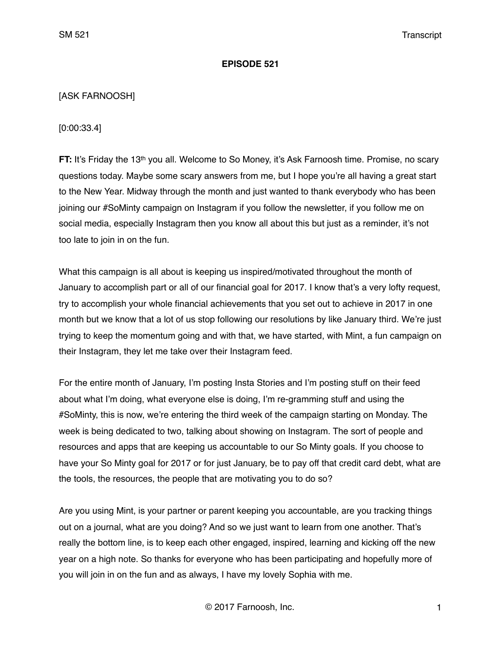#### **EPISODE 521**

## [ASK FARNOOSH]

[0:00:33.4]

**FT:** It's Friday the 13<sup>th</sup> you all. Welcome to So Money, it's Ask Farnoosh time. Promise, no scary questions today. Maybe some scary answers from me, but I hope you're all having a great start to the New Year. Midway through the month and just wanted to thank everybody who has been joining our #SoMinty campaign on Instagram if you follow the newsletter, if you follow me on social media, especially Instagram then you know all about this but just as a reminder, it's not too late to join in on the fun.

What this campaign is all about is keeping us inspired/motivated throughout the month of January to accomplish part or all of our financial goal for 2017. I know that's a very lofty request, try to accomplish your whole financial achievements that you set out to achieve in 2017 in one month but we know that a lot of us stop following our resolutions by like January third. We're just trying to keep the momentum going and with that, we have started, with Mint, a fun campaign on their Instagram, they let me take over their Instagram feed.

For the entire month of January, I'm posting Insta Stories and I'm posting stuff on their feed about what I'm doing, what everyone else is doing, I'm re-gramming stuff and using the #SoMinty, this is now, we're entering the third week of the campaign starting on Monday. The week is being dedicated to two, talking about showing on Instagram. The sort of people and resources and apps that are keeping us accountable to our So Minty goals. If you choose to have your So Minty goal for 2017 or for just January, be to pay off that credit card debt, what are the tools, the resources, the people that are motivating you to do so?

Are you using Mint, is your partner or parent keeping you accountable, are you tracking things out on a journal, what are you doing? And so we just want to learn from one another. That's really the bottom line, is to keep each other engaged, inspired, learning and kicking off the new year on a high note. So thanks for everyone who has been participating and hopefully more of you will join in on the fun and as always, I have my lovely Sophia with me.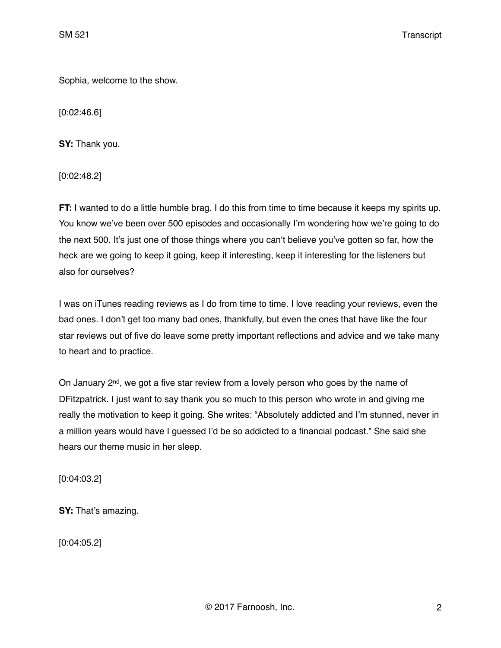Sophia, welcome to the show.

[0:02:46.6]

**SY:** Thank you.

[0:02:48.2]

**FT:** I wanted to do a little humble brag. I do this from time to time because it keeps my spirits up. You know we've been over 500 episodes and occasionally I'm wondering how we're going to do the next 500. It's just one of those things where you can't believe you've gotten so far, how the heck are we going to keep it going, keep it interesting, keep it interesting for the listeners but also for ourselves?

I was on iTunes reading reviews as I do from time to time. I love reading your reviews, even the bad ones. I don't get too many bad ones, thankfully, but even the ones that have like the four star reviews out of five do leave some pretty important reflections and advice and we take many to heart and to practice.

On January  $2<sup>nd</sup>$ , we got a five star review from a lovely person who goes by the name of DFitzpatrick. I just want to say thank you so much to this person who wrote in and giving me really the motivation to keep it going. She writes: "Absolutely addicted and I'm stunned, never in a million years would have I guessed I'd be so addicted to a financial podcast." She said she hears our theme music in her sleep.

[0:04:03.2]

**SY:** That's amazing.

[0:04:05.2]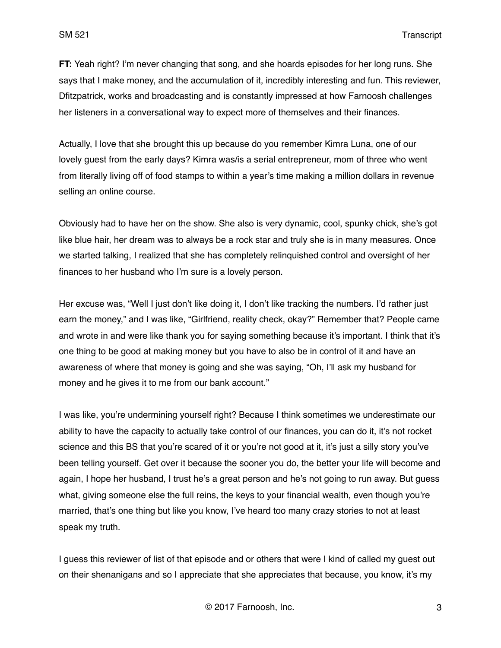**FT:** Yeah right? I'm never changing that song, and she hoards episodes for her long runs. She says that I make money, and the accumulation of it, incredibly interesting and fun. This reviewer, Dfitzpatrick, works and broadcasting and is constantly impressed at how Farnoosh challenges her listeners in a conversational way to expect more of themselves and their finances.

Actually, I love that she brought this up because do you remember Kimra Luna, one of our lovely guest from the early days? Kimra was/is a serial entrepreneur, mom of three who went from literally living off of food stamps to within a year's time making a million dollars in revenue selling an online course.

Obviously had to have her on the show. She also is very dynamic, cool, spunky chick, she's got like blue hair, her dream was to always be a rock star and truly she is in many measures. Once we started talking, I realized that she has completely relinquished control and oversight of her finances to her husband who I'm sure is a lovely person.

Her excuse was, "Well I just don't like doing it, I don't like tracking the numbers. I'd rather just earn the money," and I was like, "Girlfriend, reality check, okay?" Remember that? People came and wrote in and were like thank you for saying something because it's important. I think that it's one thing to be good at making money but you have to also be in control of it and have an awareness of where that money is going and she was saying, "Oh, I'll ask my husband for money and he gives it to me from our bank account."

I was like, you're undermining yourself right? Because I think sometimes we underestimate our ability to have the capacity to actually take control of our finances, you can do it, it's not rocket science and this BS that you're scared of it or you're not good at it, it's just a silly story you've been telling yourself. Get over it because the sooner you do, the better your life will become and again, I hope her husband, I trust he's a great person and he's not going to run away. But guess what, giving someone else the full reins, the keys to your financial wealth, even though you're married, that's one thing but like you know, I've heard too many crazy stories to not at least speak my truth.

I guess this reviewer of list of that episode and or others that were I kind of called my guest out on their shenanigans and so I appreciate that she appreciates that because, you know, it's my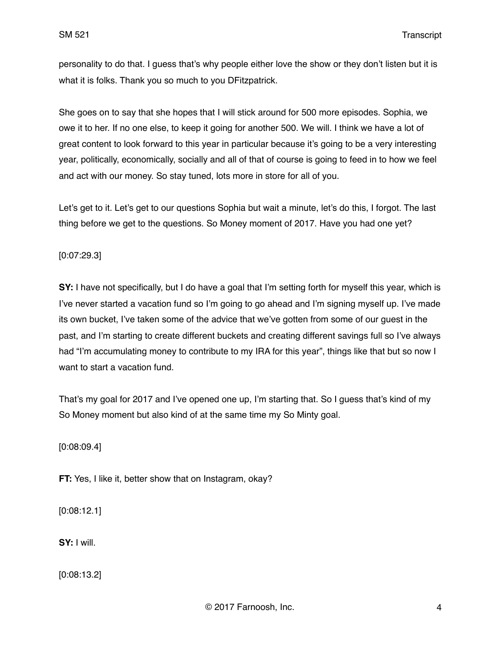personality to do that. I guess that's why people either love the show or they don't listen but it is what it is folks. Thank you so much to you DFitzpatrick.

She goes on to say that she hopes that I will stick around for 500 more episodes. Sophia, we owe it to her. If no one else, to keep it going for another 500. We will. I think we have a lot of great content to look forward to this year in particular because it's going to be a very interesting year, politically, economically, socially and all of that of course is going to feed in to how we feel and act with our money. So stay tuned, lots more in store for all of you.

Let's get to it. Let's get to our questions Sophia but wait a minute, let's do this, I forgot. The last thing before we get to the questions. So Money moment of 2017. Have you had one yet?

## [0:07:29.3]

**SY:** I have not specifically, but I do have a goal that I'm setting forth for myself this year, which is I've never started a vacation fund so I'm going to go ahead and I'm signing myself up. I've made its own bucket, I've taken some of the advice that we've gotten from some of our guest in the past, and I'm starting to create different buckets and creating different savings full so I've always had "I'm accumulating money to contribute to my IRA for this year", things like that but so now I want to start a vacation fund.

That's my goal for 2017 and I've opened one up, I'm starting that. So I guess that's kind of my So Money moment but also kind of at the same time my So Minty goal.

[0:08:09.4]

**FT:** Yes, I like it, better show that on Instagram, okay?

[0:08:12.1]

**SY:** I will.

[0:08:13.2]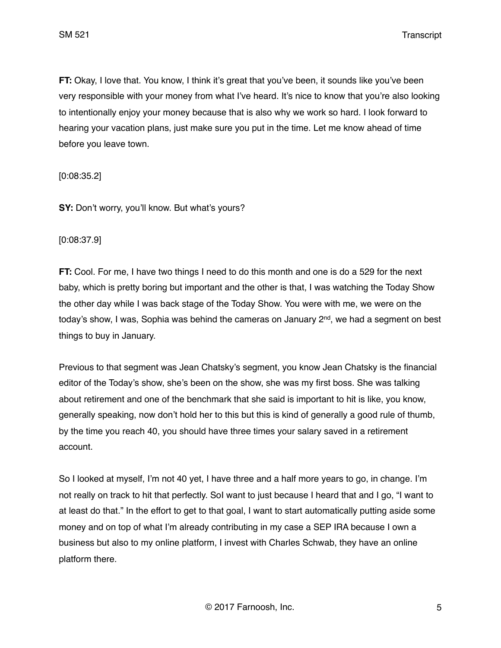SM 521 Transcript

**FT:** Okay, I love that. You know, I think it's great that you've been, it sounds like you've been very responsible with your money from what I've heard. It's nice to know that you're also looking to intentionally enjoy your money because that is also why we work so hard. I look forward to hearing your vacation plans, just make sure you put in the time. Let me know ahead of time before you leave town.

[0:08:35.2]

**SY:** Don't worry, you'll know. But what's yours?

[0:08:37.9]

**FT:** Cool. For me, I have two things I need to do this month and one is do a 529 for the next baby, which is pretty boring but important and the other is that, I was watching the Today Show the other day while I was back stage of the Today Show. You were with me, we were on the today's show, I was, Sophia was behind the cameras on January 2<sup>nd</sup>, we had a segment on best things to buy in January.

Previous to that segment was Jean Chatsky's segment, you know Jean Chatsky is the financial editor of the Today's show, she's been on the show, she was my first boss. She was talking about retirement and one of the benchmark that she said is important to hit is like, you know, generally speaking, now don't hold her to this but this is kind of generally a good rule of thumb, by the time you reach 40, you should have three times your salary saved in a retirement account.

So I looked at myself, I'm not 40 yet, I have three and a half more years to go, in change. I'm not really on track to hit that perfectly. SoI want to just because I heard that and I go, "I want to at least do that." In the effort to get to that goal, I want to start automatically putting aside some money and on top of what I'm already contributing in my case a SEP IRA because I own a business but also to my online platform, I invest with Charles Schwab, they have an online platform there.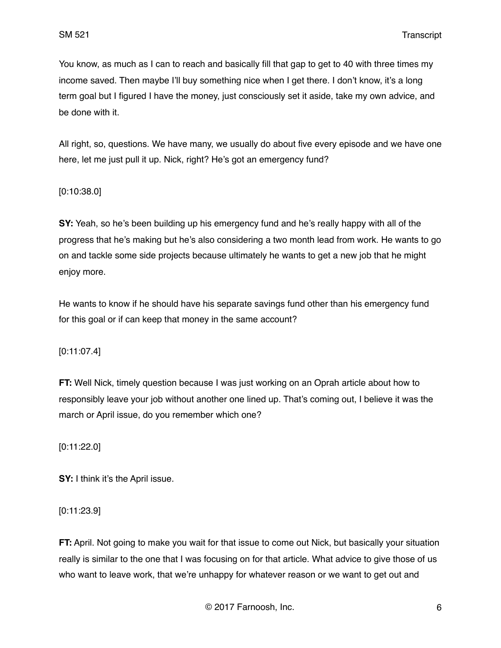You know, as much as I can to reach and basically fill that gap to get to 40 with three times my income saved. Then maybe I'll buy something nice when I get there. I don't know, it's a long term goal but I figured I have the money, just consciously set it aside, take my own advice, and be done with it.

All right, so, questions. We have many, we usually do about five every episode and we have one here, let me just pull it up. Nick, right? He's got an emergency fund?

#### [0:10:38.0]

**SY:** Yeah, so he's been building up his emergency fund and he's really happy with all of the progress that he's making but he's also considering a two month lead from work. He wants to go on and tackle some side projects because ultimately he wants to get a new job that he might enjoy more.

He wants to know if he should have his separate savings fund other than his emergency fund for this goal or if can keep that money in the same account?

## [0:11:07.4]

**FT:** Well Nick, timely question because I was just working on an Oprah article about how to responsibly leave your job without another one lined up. That's coming out, I believe it was the march or April issue, do you remember which one?

#### [0:11:22.0]

**SY:** I think it's the April issue.

## [0:11:23.9]

**FT:** April. Not going to make you wait for that issue to come out Nick, but basically your situation really is similar to the one that I was focusing on for that article. What advice to give those of us who want to leave work, that we're unhappy for whatever reason or we want to get out and

© 2017 Farnoosh, Inc. 6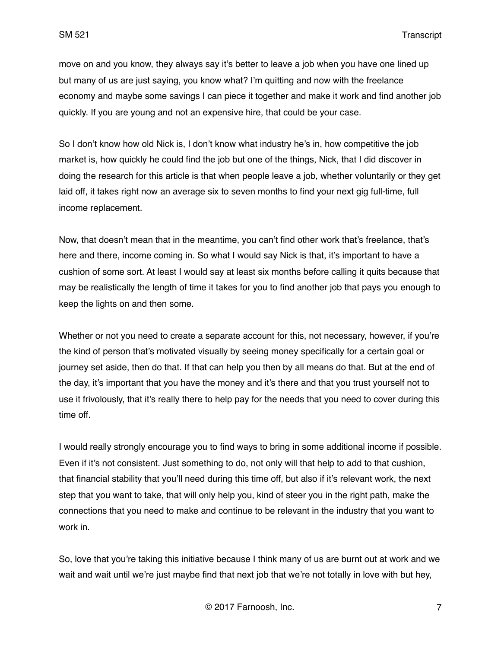move on and you know, they always say it's better to leave a job when you have one lined up but many of us are just saying, you know what? I'm quitting and now with the freelance economy and maybe some savings I can piece it together and make it work and find another job quickly. If you are young and not an expensive hire, that could be your case.

So I don't know how old Nick is, I don't know what industry he's in, how competitive the job market is, how quickly he could find the job but one of the things, Nick, that I did discover in doing the research for this article is that when people leave a job, whether voluntarily or they get laid off, it takes right now an average six to seven months to find your next gig full-time, full income replacement.

Now, that doesn't mean that in the meantime, you can't find other work that's freelance, that's here and there, income coming in. So what I would say Nick is that, it's important to have a cushion of some sort. At least I would say at least six months before calling it quits because that may be realistically the length of time it takes for you to find another job that pays you enough to keep the lights on and then some.

Whether or not you need to create a separate account for this, not necessary, however, if you're the kind of person that's motivated visually by seeing money specifically for a certain goal or journey set aside, then do that. If that can help you then by all means do that. But at the end of the day, it's important that you have the money and it's there and that you trust yourself not to use it frivolously, that it's really there to help pay for the needs that you need to cover during this time off.

I would really strongly encourage you to find ways to bring in some additional income if possible. Even if it's not consistent. Just something to do, not only will that help to add to that cushion, that financial stability that you'll need during this time off, but also if it's relevant work, the next step that you want to take, that will only help you, kind of steer you in the right path, make the connections that you need to make and continue to be relevant in the industry that you want to work in.

So, love that you're taking this initiative because I think many of us are burnt out at work and we wait and wait until we're just maybe find that next job that we're not totally in love with but hey,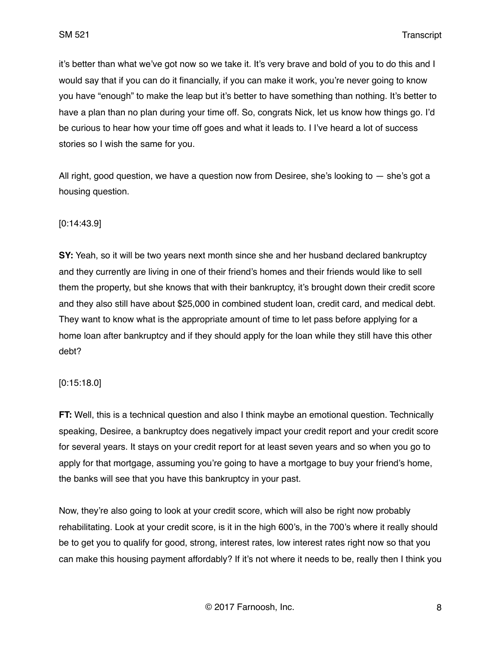it's better than what we've got now so we take it. It's very brave and bold of you to do this and I would say that if you can do it financially, if you can make it work, you're never going to know you have "enough" to make the leap but it's better to have something than nothing. It's better to have a plan than no plan during your time off. So, congrats Nick, let us know how things go. I'd be curious to hear how your time off goes and what it leads to. I I've heard a lot of success stories so I wish the same for you.

All right, good question, we have a question now from Desiree, she's looking to  $-$  she's got a housing question.

## [0:14:43.9]

**SY:** Yeah, so it will be two years next month since she and her husband declared bankruptcy and they currently are living in one of their friend's homes and their friends would like to sell them the property, but she knows that with their bankruptcy, it's brought down their credit score and they also still have about \$25,000 in combined student loan, credit card, and medical debt. They want to know what is the appropriate amount of time to let pass before applying for a home loan after bankruptcy and if they should apply for the loan while they still have this other debt?

#### [0:15:18.0]

**FT:** Well, this is a technical question and also I think maybe an emotional question. Technically speaking, Desiree, a bankruptcy does negatively impact your credit report and your credit score for several years. It stays on your credit report for at least seven years and so when you go to apply for that mortgage, assuming you're going to have a mortgage to buy your friend's home, the banks will see that you have this bankruptcy in your past.

Now, they're also going to look at your credit score, which will also be right now probably rehabilitating. Look at your credit score, is it in the high 600's, in the 700's where it really should be to get you to qualify for good, strong, interest rates, low interest rates right now so that you can make this housing payment affordably? If it's not where it needs to be, really then I think you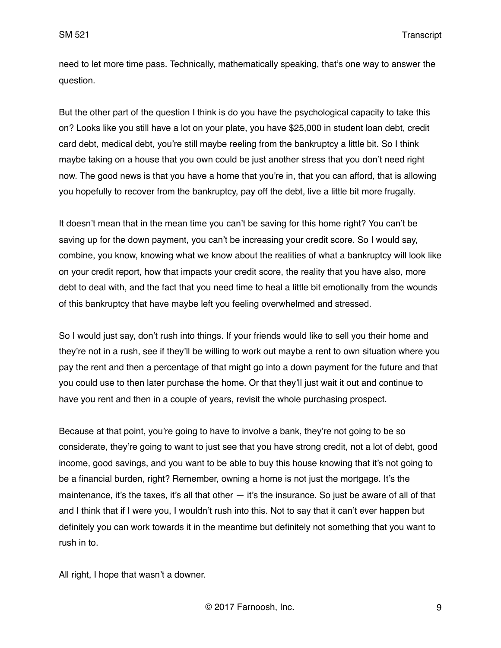need to let more time pass. Technically, mathematically speaking, that's one way to answer the question.

But the other part of the question I think is do you have the psychological capacity to take this on? Looks like you still have a lot on your plate, you have \$25,000 in student loan debt, credit card debt, medical debt, you're still maybe reeling from the bankruptcy a little bit. So I think maybe taking on a house that you own could be just another stress that you don't need right now. The good news is that you have a home that you're in, that you can afford, that is allowing you hopefully to recover from the bankruptcy, pay off the debt, live a little bit more frugally.

It doesn't mean that in the mean time you can't be saving for this home right? You can't be saving up for the down payment, you can't be increasing your credit score. So I would say, combine, you know, knowing what we know about the realities of what a bankruptcy will look like on your credit report, how that impacts your credit score, the reality that you have also, more debt to deal with, and the fact that you need time to heal a little bit emotionally from the wounds of this bankruptcy that have maybe left you feeling overwhelmed and stressed.

So I would just say, don't rush into things. If your friends would like to sell you their home and they're not in a rush, see if they'll be willing to work out maybe a rent to own situation where you pay the rent and then a percentage of that might go into a down payment for the future and that you could use to then later purchase the home. Or that they'll just wait it out and continue to have you rent and then in a couple of years, revisit the whole purchasing prospect.

Because at that point, you're going to have to involve a bank, they're not going to be so considerate, they're going to want to just see that you have strong credit, not a lot of debt, good income, good savings, and you want to be able to buy this house knowing that it's not going to be a financial burden, right? Remember, owning a home is not just the mortgage. It's the maintenance, it's the taxes, it's all that other — it's the insurance. So just be aware of all of that and I think that if I were you, I wouldn't rush into this. Not to say that it can't ever happen but definitely you can work towards it in the meantime but definitely not something that you want to rush in to.

All right, I hope that wasn't a downer.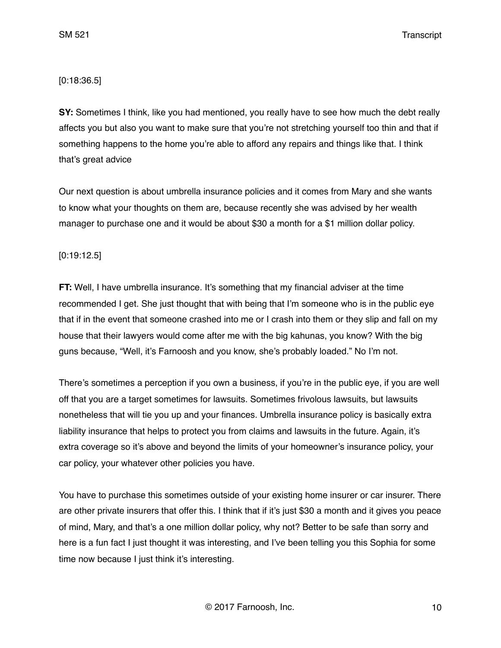SM 521 Transcript

## [0:18:36.5]

**SY:** Sometimes I think, like you had mentioned, you really have to see how much the debt really affects you but also you want to make sure that you're not stretching yourself too thin and that if something happens to the home you're able to afford any repairs and things like that. I think that's great advice

Our next question is about umbrella insurance policies and it comes from Mary and she wants to know what your thoughts on them are, because recently she was advised by her wealth manager to purchase one and it would be about \$30 a month for a \$1 million dollar policy.

## [0:19:12.5]

**FT:** Well, I have umbrella insurance. It's something that my financial adviser at the time recommended I get. She just thought that with being that I'm someone who is in the public eye that if in the event that someone crashed into me or I crash into them or they slip and fall on my house that their lawyers would come after me with the big kahunas, you know? With the big guns because, "Well, it's Farnoosh and you know, she's probably loaded." No I'm not.

There's sometimes a perception if you own a business, if you're in the public eye, if you are well off that you are a target sometimes for lawsuits. Sometimes frivolous lawsuits, but lawsuits nonetheless that will tie you up and your finances. Umbrella insurance policy is basically extra liability insurance that helps to protect you from claims and lawsuits in the future. Again, it's extra coverage so it's above and beyond the limits of your homeowner's insurance policy, your car policy, your whatever other policies you have.

You have to purchase this sometimes outside of your existing home insurer or car insurer. There are other private insurers that offer this. I think that if it's just \$30 a month and it gives you peace of mind, Mary, and that's a one million dollar policy, why not? Better to be safe than sorry and here is a fun fact I just thought it was interesting, and I've been telling you this Sophia for some time now because I just think it's interesting.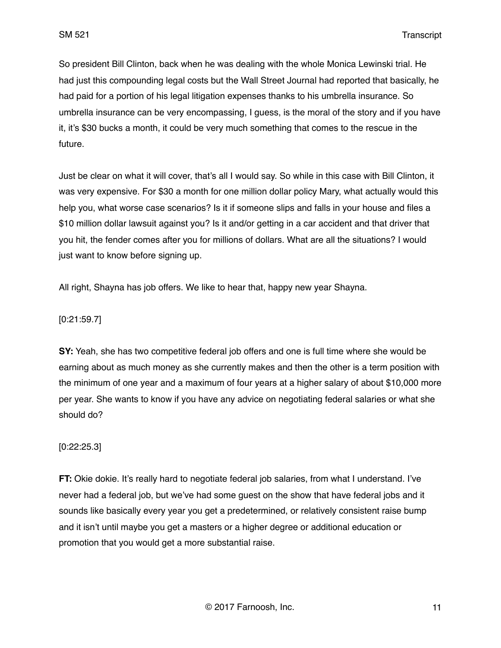So president Bill Clinton, back when he was dealing with the whole Monica Lewinski trial. He had just this compounding legal costs but the Wall Street Journal had reported that basically, he had paid for a portion of his legal litigation expenses thanks to his umbrella insurance. So umbrella insurance can be very encompassing, I guess, is the moral of the story and if you have it, it's \$30 bucks a month, it could be very much something that comes to the rescue in the future.

Just be clear on what it will cover, that's all I would say. So while in this case with Bill Clinton, it was very expensive. For \$30 a month for one million dollar policy Mary, what actually would this help you, what worse case scenarios? Is it if someone slips and falls in your house and files a \$10 million dollar lawsuit against you? Is it and/or getting in a car accident and that driver that you hit, the fender comes after you for millions of dollars. What are all the situations? I would just want to know before signing up.

All right, Shayna has job offers. We like to hear that, happy new year Shayna.

## [0:21:59.7]

**SY:** Yeah, she has two competitive federal job offers and one is full time where she would be earning about as much money as she currently makes and then the other is a term position with the minimum of one year and a maximum of four years at a higher salary of about \$10,000 more per year. She wants to know if you have any advice on negotiating federal salaries or what she should do?

## [0:22:25.3]

**FT:** Okie dokie. It's really hard to negotiate federal job salaries, from what I understand. I've never had a federal job, but we've had some guest on the show that have federal jobs and it sounds like basically every year you get a predetermined, or relatively consistent raise bump and it isn't until maybe you get a masters or a higher degree or additional education or promotion that you would get a more substantial raise.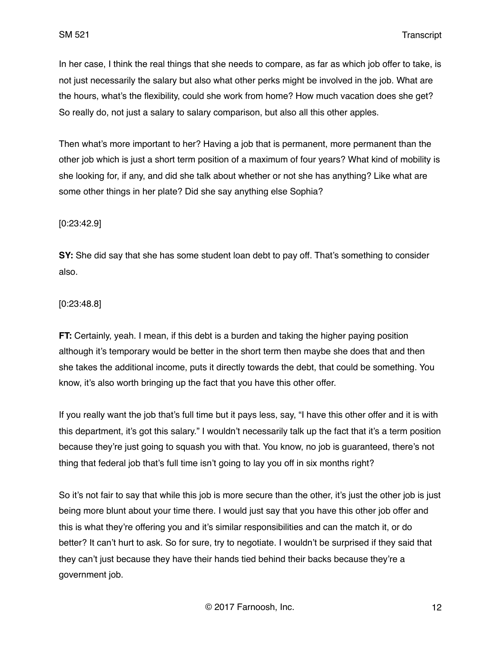In her case, I think the real things that she needs to compare, as far as which job offer to take, is not just necessarily the salary but also what other perks might be involved in the job. What are the hours, what's the flexibility, could she work from home? How much vacation does she get? So really do, not just a salary to salary comparison, but also all this other apples.

Then what's more important to her? Having a job that is permanent, more permanent than the other job which is just a short term position of a maximum of four years? What kind of mobility is she looking for, if any, and did she talk about whether or not she has anything? Like what are some other things in her plate? Did she say anything else Sophia?

## [0:23:42.9]

**SY:** She did say that she has some student loan debt to pay off. That's something to consider also.

#### [0:23:48.8]

**FT:** Certainly, yeah. I mean, if this debt is a burden and taking the higher paying position although it's temporary would be better in the short term then maybe she does that and then she takes the additional income, puts it directly towards the debt, that could be something. You know, it's also worth bringing up the fact that you have this other offer.

If you really want the job that's full time but it pays less, say, "I have this other offer and it is with this department, it's got this salary." I wouldn't necessarily talk up the fact that it's a term position because they're just going to squash you with that. You know, no job is guaranteed, there's not thing that federal job that's full time isn't going to lay you off in six months right?

So it's not fair to say that while this job is more secure than the other, it's just the other job is just being more blunt about your time there. I would just say that you have this other job offer and this is what they're offering you and it's similar responsibilities and can the match it, or do better? It can't hurt to ask. So for sure, try to negotiate. I wouldn't be surprised if they said that they can't just because they have their hands tied behind their backs because they're a government job.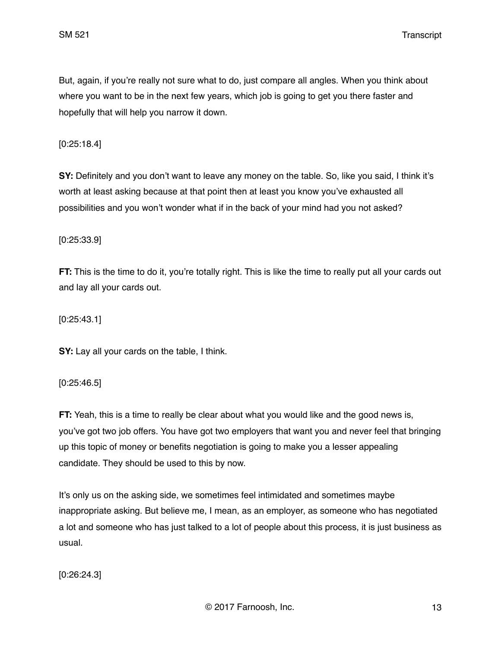SM 521 Transcript

But, again, if you're really not sure what to do, just compare all angles. When you think about where you want to be in the next few years, which job is going to get you there faster and hopefully that will help you narrow it down.

[0:25:18.4]

**SY:** Definitely and you don't want to leave any money on the table. So, like you said, I think it's worth at least asking because at that point then at least you know you've exhausted all possibilities and you won't wonder what if in the back of your mind had you not asked?

[0:25:33.9]

**FT:** This is the time to do it, you're totally right. This is like the time to really put all your cards out and lay all your cards out.

[0:25:43.1]

**SY:** Lay all your cards on the table, I think.

[0:25:46.5]

**FT:** Yeah, this is a time to really be clear about what you would like and the good news is, you've got two job offers. You have got two employers that want you and never feel that bringing up this topic of money or benefits negotiation is going to make you a lesser appealing candidate. They should be used to this by now.

It's only us on the asking side, we sometimes feel intimidated and sometimes maybe inappropriate asking. But believe me, I mean, as an employer, as someone who has negotiated a lot and someone who has just talked to a lot of people about this process, it is just business as usual.

[0:26:24.3]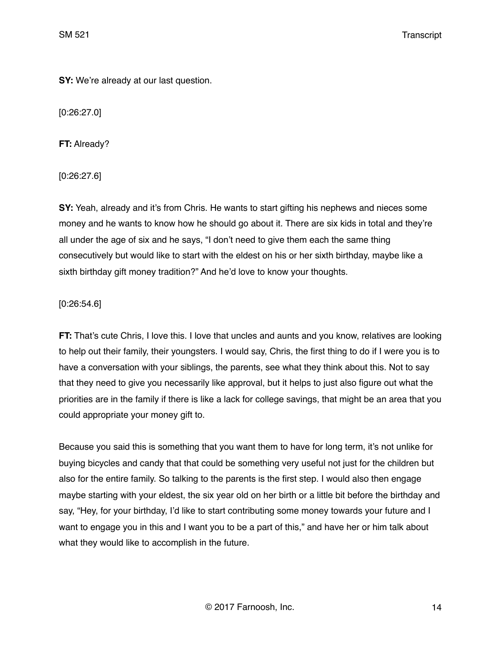**SY:** We're already at our last question.

[0:26:27.0]

**FT:** Already?

[0:26:27.6]

**SY:** Yeah, already and it's from Chris. He wants to start gifting his nephews and nieces some money and he wants to know how he should go about it. There are six kids in total and they're all under the age of six and he says, "I don't need to give them each the same thing consecutively but would like to start with the eldest on his or her sixth birthday, maybe like a sixth birthday gift money tradition?" And he'd love to know your thoughts.

# [0:26:54.6]

**FT:** That's cute Chris, I love this. I love that uncles and aunts and you know, relatives are looking to help out their family, their youngsters. I would say, Chris, the first thing to do if I were you is to have a conversation with your siblings, the parents, see what they think about this. Not to say that they need to give you necessarily like approval, but it helps to just also figure out what the priorities are in the family if there is like a lack for college savings, that might be an area that you could appropriate your money gift to.

Because you said this is something that you want them to have for long term, it's not unlike for buying bicycles and candy that that could be something very useful not just for the children but also for the entire family. So talking to the parents is the first step. I would also then engage maybe starting with your eldest, the six year old on her birth or a little bit before the birthday and say, "Hey, for your birthday, I'd like to start contributing some money towards your future and I want to engage you in this and I want you to be a part of this," and have her or him talk about what they would like to accomplish in the future.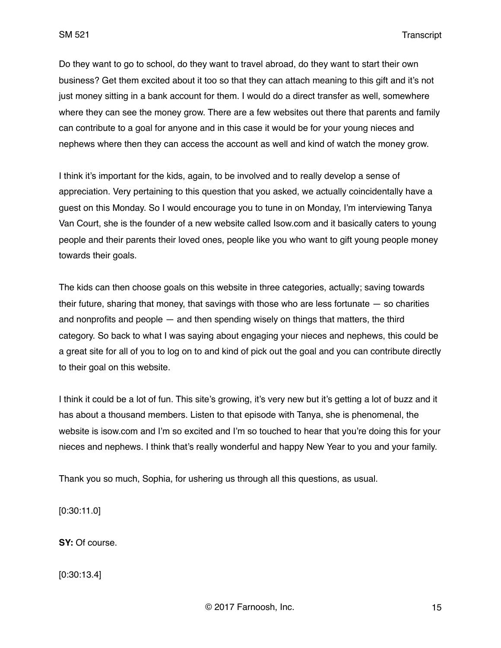Do they want to go to school, do they want to travel abroad, do they want to start their own business? Get them excited about it too so that they can attach meaning to this gift and it's not just money sitting in a bank account for them. I would do a direct transfer as well, somewhere where they can see the money grow. There are a few websites out there that parents and family can contribute to a goal for anyone and in this case it would be for your young nieces and nephews where then they can access the account as well and kind of watch the money grow.

I think it's important for the kids, again, to be involved and to really develop a sense of appreciation. Very pertaining to this question that you asked, we actually coincidentally have a guest on this Monday. So I would encourage you to tune in on Monday, I'm interviewing Tanya Van Court, she is the founder of a new website called Isow.com and it basically caters to young people and their parents their loved ones, people like you who want to gift young people money towards their goals.

The kids can then choose goals on this website in three categories, actually; saving towards their future, sharing that money, that savings with those who are less fortunate  $-$  so charities and nonprofits and people — and then spending wisely on things that matters, the third category. So back to what I was saying about engaging your nieces and nephews, this could be a great site for all of you to log on to and kind of pick out the goal and you can contribute directly to their goal on this website.

I think it could be a lot of fun. This site's growing, it's very new but it's getting a lot of buzz and it has about a thousand members. Listen to that episode with Tanya, she is phenomenal, the website is isow.com and I'm so excited and I'm so touched to hear that you're doing this for your nieces and nephews. I think that's really wonderful and happy New Year to you and your family.

Thank you so much, Sophia, for ushering us through all this questions, as usual.

[0:30:11.0]

**SY:** Of course.

[0:30:13.4]